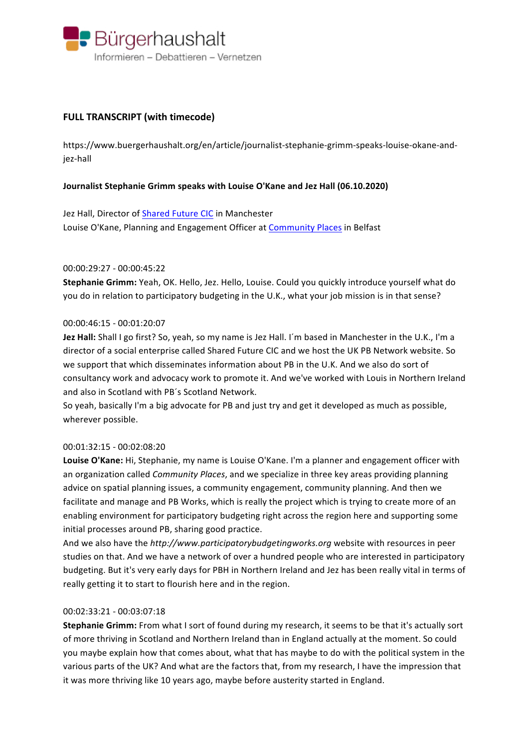

# **FULL TRANSCRIPT (with timecode)**

https://www.buergerhaushalt.org/en/article/journalist-stephanie-grimm-speaks-louise-okane-andjez-hall

## **Journalist Stephanie Grimm speaks with Louise O'Kane and Jez Hall (06.10.2020)**

Jez Hall, Director of Shared Future CIC in Manchester Louise O'Kane, Planning and Engagement Officer at Community Places in Belfast

## 00:00:29:27 - 00:00:45:22

**Stephanie Grimm:** Yeah, OK. Hello, Jez. Hello, Louise. Could you quickly introduce yourself what do you do in relation to participatory budgeting in the U.K., what your job mission is in that sense?

## 00:00:46:15 - 00:01:20:07

**Jez Hall:** Shall I go first? So, yeah, so my name is Jez Hall. I'm based in Manchester in the U.K., I'm a director of a social enterprise called Shared Future CIC and we host the UK PB Network website. So we support that which disseminates information about PB in the U.K. And we also do sort of consultancy work and advocacy work to promote it. And we've worked with Louis in Northern Ireland and also in Scotland with PB's Scotland Network.

So yeah, basically I'm a big advocate for PB and just try and get it developed as much as possible, wherever possible.

#### 00:01:32:15 - 00:02:08:20

Louise O'Kane: Hi, Stephanie, my name is Louise O'Kane. I'm a planner and engagement officer with an organization called *Community Places*, and we specialize in three key areas providing planning advice on spatial planning issues, a community engagement, community planning. And then we facilitate and manage and PB Works, which is really the project which is trying to create more of an enabling environment for participatory budgeting right across the region here and supporting some initial processes around PB, sharing good practice.

And we also have the *http://www.participatorybudgetingworks.org* website with resources in peer studies on that. And we have a network of over a hundred people who are interested in participatory budgeting. But it's very early days for PBH in Northern Ireland and Jez has been really vital in terms of really getting it to start to flourish here and in the region.

#### 00:02:33:21 - 00:03:07:18

**Stephanie Grimm:** From what I sort of found during my research, it seems to be that it's actually sort of more thriving in Scotland and Northern Ireland than in England actually at the moment. So could you maybe explain how that comes about, what that has maybe to do with the political system in the various parts of the UK? And what are the factors that, from my research, I have the impression that it was more thriving like 10 years ago, maybe before austerity started in England.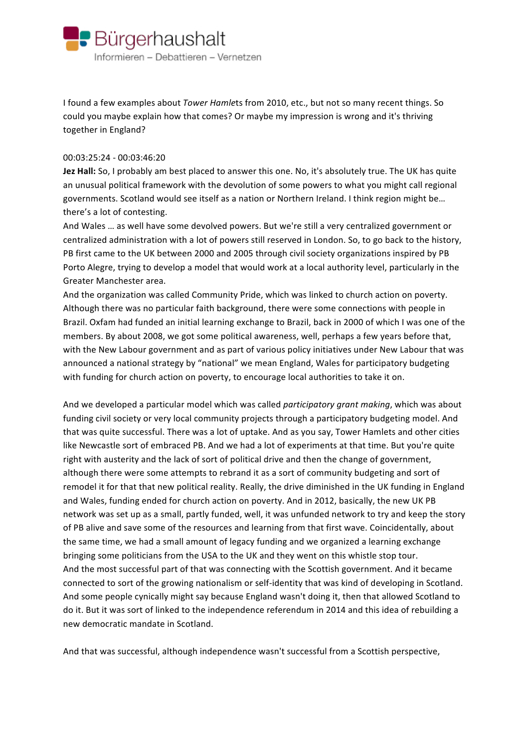

I found a few examples about *Tower Hamle*ts from 2010, etc., but not so many recent things. So could you maybe explain how that comes? Or maybe my impression is wrong and it's thriving together in England?

## 00:03:25:24 - 00:03:46:20

**Jez Hall:** So, I probably am best placed to answer this one. No, it's absolutely true. The UK has quite an unusual political framework with the devolution of some powers to what you might call regional governments. Scotland would see itself as a nation or Northern Ireland. I think region might be... there's a lot of contesting.

And Wales ... as well have some devolved powers. But we're still a very centralized government or centralized administration with a lot of powers still reserved in London. So, to go back to the history, PB first came to the UK between 2000 and 2005 through civil society organizations inspired by PB Porto Alegre, trying to develop a model that would work at a local authority level, particularly in the Greater Manchester area.

And the organization was called Community Pride, which was linked to church action on poverty. Although there was no particular faith background, there were some connections with people in Brazil. Oxfam had funded an initial learning exchange to Brazil, back in 2000 of which I was one of the members. By about 2008, we got some political awareness, well, perhaps a few years before that, with the New Labour government and as part of various policy initiatives under New Labour that was announced a national strategy by "national" we mean England, Wales for participatory budgeting with funding for church action on poverty, to encourage local authorities to take it on.

And we developed a particular model which was called *participatory grant making*, which was about funding civil society or very local community projects through a participatory budgeting model. And that was quite successful. There was a lot of uptake. And as you say, Tower Hamlets and other cities like Newcastle sort of embraced PB. And we had a lot of experiments at that time. But you're quite right with austerity and the lack of sort of political drive and then the change of government, although there were some attempts to rebrand it as a sort of community budgeting and sort of remodel it for that that new political reality. Really, the drive diminished in the UK funding in England and Wales, funding ended for church action on poverty. And in 2012, basically, the new UK PB network was set up as a small, partly funded, well, it was unfunded network to try and keep the story of PB alive and save some of the resources and learning from that first wave. Coincidentally, about the same time, we had a small amount of legacy funding and we organized a learning exchange bringing some politicians from the USA to the UK and they went on this whistle stop tour. And the most successful part of that was connecting with the Scottish government. And it became connected to sort of the growing nationalism or self-identity that was kind of developing in Scotland. And some people cynically might say because England wasn't doing it, then that allowed Scotland to do it. But it was sort of linked to the independence referendum in 2014 and this idea of rebuilding a new democratic mandate in Scotland.

And that was successful, although independence wasn't successful from a Scottish perspective,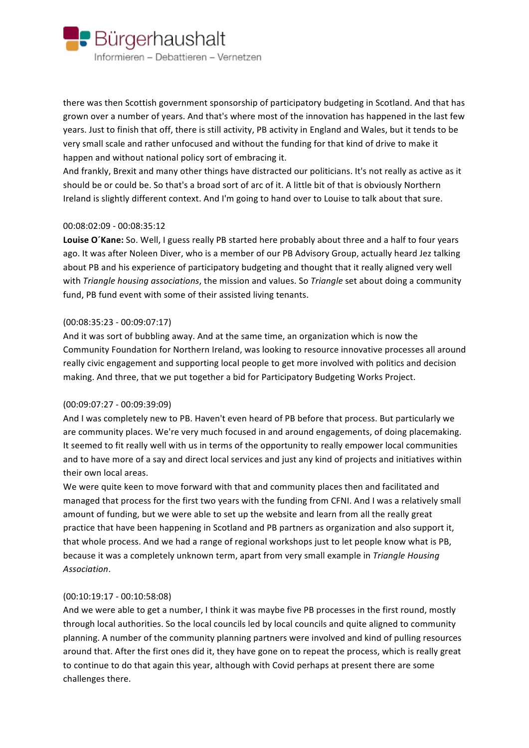

there was then Scottish government sponsorship of participatory budgeting in Scotland. And that has grown over a number of years. And that's where most of the innovation has happened in the last few years. Just to finish that off, there is still activity, PB activity in England and Wales, but it tends to be very small scale and rather unfocused and without the funding for that kind of drive to make it happen and without national policy sort of embracing it.

And frankly, Brexit and many other things have distracted our politicians. It's not really as active as it should be or could be. So that's a broad sort of arc of it. A little bit of that is obviously Northern Ireland is slightly different context. And I'm going to hand over to Louise to talk about that sure.

## 00:08:02:09 - 00:08:35:12

Louise O'Kane: So. Well, I guess really PB started here probably about three and a half to four years ago. It was after Noleen Diver, who is a member of our PB Advisory Group, actually heard Jez talking about PB and his experience of participatory budgeting and thought that it really aligned very well with *Triangle housing associations*, the mission and values. So *Triangle* set about doing a community fund, PB fund event with some of their assisted living tenants.

## $(00:08:35:23 - 00:09:07:17)$

And it was sort of bubbling away. And at the same time, an organization which is now the Community Foundation for Northern Ireland, was looking to resource innovative processes all around really civic engagement and supporting local people to get more involved with politics and decision making. And three, that we put together a bid for Participatory Budgeting Works Project.

## (00:09:07:27 - 00:09:39:09)

And I was completely new to PB. Haven't even heard of PB before that process. But particularly we are community places. We're very much focused in and around engagements, of doing placemaking. It seemed to fit really well with us in terms of the opportunity to really empower local communities and to have more of a say and direct local services and just any kind of projects and initiatives within their own local areas.

We were quite keen to move forward with that and community places then and facilitated and managed that process for the first two years with the funding from CFNI. And I was a relatively small amount of funding, but we were able to set up the website and learn from all the really great practice that have been happening in Scotland and PB partners as organization and also support it, that whole process. And we had a range of regional workshops just to let people know what is PB, because it was a completely unknown term, apart from very small example in *Triangle Housing Association*.

#### $(00:10:19:17 - 00:10:58:08)$

And we were able to get a number, I think it was maybe five PB processes in the first round, mostly through local authorities. So the local councils led by local councils and quite aligned to community planning. A number of the community planning partners were involved and kind of pulling resources around that. After the first ones did it, they have gone on to repeat the process, which is really great to continue to do that again this year, although with Covid perhaps at present there are some challenges there.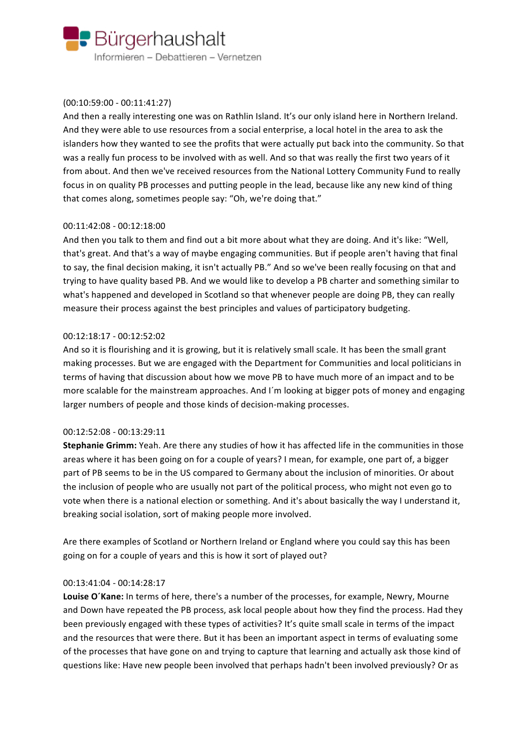

## $(00:10:59:00 - 00:11:41:27)$

And then a really interesting one was on Rathlin Island. It's our only island here in Northern Ireland. And they were able to use resources from a social enterprise, a local hotel in the area to ask the islanders how they wanted to see the profits that were actually put back into the community. So that was a really fun process to be involved with as well. And so that was really the first two years of it from about. And then we've received resources from the National Lottery Community Fund to really focus in on quality PB processes and putting people in the lead, because like any new kind of thing that comes along, sometimes people say: "Oh, we're doing that."

## 00:11:42:08 - 00:12:18:00

And then you talk to them and find out a bit more about what they are doing. And it's like: "Well, that's great. And that's a way of maybe engaging communities. But if people aren't having that final to say, the final decision making, it isn't actually PB." And so we've been really focusing on that and trying to have quality based PB. And we would like to develop a PB charter and something similar to what's happened and developed in Scotland so that whenever people are doing PB, they can really measure their process against the best principles and values of participatory budgeting.

## 00:12:18:17 - 00:12:52:02

And so it is flourishing and it is growing, but it is relatively small scale. It has been the small grant making processes. But we are engaged with the Department for Communities and local politicians in terms of having that discussion about how we move PB to have much more of an impact and to be more scalable for the mainstream approaches. And I'm looking at bigger pots of money and engaging larger numbers of people and those kinds of decision-making processes.

## 00:12:52:08 - 00:13:29:11

**Stephanie Grimm:** Yeah. Are there any studies of how it has affected life in the communities in those areas where it has been going on for a couple of years? I mean, for example, one part of, a bigger part of PB seems to be in the US compared to Germany about the inclusion of minorities. Or about the inclusion of people who are usually not part of the political process, who might not even go to vote when there is a national election or something. And it's about basically the way I understand it, breaking social isolation, sort of making people more involved.

Are there examples of Scotland or Northern Ireland or England where you could say this has been going on for a couple of years and this is how it sort of played out?

## 00:13:41:04 - 00:14:28:17

Louise O'Kane: In terms of here, there's a number of the processes, for example, Newry, Mourne and Down have repeated the PB process, ask local people about how they find the process. Had they been previously engaged with these types of activities? It's quite small scale in terms of the impact and the resources that were there. But it has been an important aspect in terms of evaluating some of the processes that have gone on and trying to capture that learning and actually ask those kind of questions like: Have new people been involved that perhaps hadn't been involved previously? Or as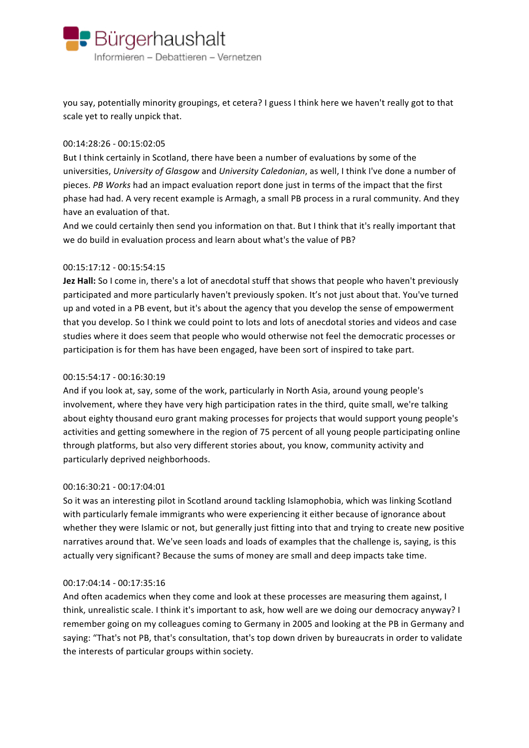

you say, potentially minority groupings, et cetera? I guess I think here we haven't really got to that scale yet to really unpick that.

#### 00:14:28:26 - 00:15:02:05

But I think certainly in Scotland, there have been a number of evaluations by some of the universities, *University of Glasgow* and *University Caledonian*, as well, I think I've done a number of pieces. *PB Works* had an impact evaluation report done just in terms of the impact that the first phase had had. A very recent example is Armagh, a small PB process in a rural community. And they have an evaluation of that.

And we could certainly then send you information on that. But I think that it's really important that we do build in evaluation process and learn about what's the value of PB?

## 00:15:17:12 - 00:15:54:15

**Jez Hall:** So I come in, there's a lot of anecdotal stuff that shows that people who haven't previously participated and more particularly haven't previously spoken. It's not just about that. You've turned up and voted in a PB event, but it's about the agency that you develop the sense of empowerment that you develop. So I think we could point to lots and lots of anecdotal stories and videos and case studies where it does seem that people who would otherwise not feel the democratic processes or participation is for them has have been engaged, have been sort of inspired to take part.

## 00:15:54:17 - 00:16:30:19

And if you look at, say, some of the work, particularly in North Asia, around young people's involvement, where they have very high participation rates in the third, quite small, we're talking about eighty thousand euro grant making processes for projects that would support young people's activities and getting somewhere in the region of 75 percent of all young people participating online through platforms, but also very different stories about, you know, community activity and particularly deprived neighborhoods.

#### 00:16:30:21 - 00:17:04:01

So it was an interesting pilot in Scotland around tackling Islamophobia, which was linking Scotland with particularly female immigrants who were experiencing it either because of ignorance about whether they were Islamic or not, but generally just fitting into that and trying to create new positive narratives around that. We've seen loads and loads of examples that the challenge is, saying, is this actually very significant? Because the sums of money are small and deep impacts take time.

#### 00:17:04:14 - 00:17:35:16

And often academics when they come and look at these processes are measuring them against, I think, unrealistic scale. I think it's important to ask, how well are we doing our democracy anyway? I remember going on my colleagues coming to Germany in 2005 and looking at the PB in Germany and saying: "That's not PB, that's consultation, that's top down driven by bureaucrats in order to validate the interests of particular groups within society.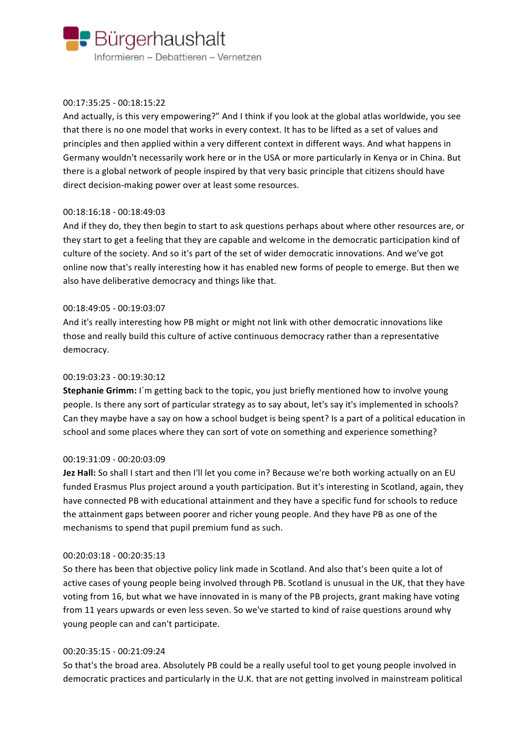

## 00:17:35:25 - 00:18:15:22

And actually, is this very empowering?" And I think if you look at the global atlas worldwide, you see that there is no one model that works in every context. It has to be lifted as a set of values and principles and then applied within a very different context in different ways. And what happens in Germany wouldn't necessarily work here or in the USA or more particularly in Kenya or in China. But there is a global network of people inspired by that very basic principle that citizens should have direct decision-making power over at least some resources.

## 00:18:16:18 - 00:18:49:03

And if they do, they then begin to start to ask questions perhaps about where other resources are, or they start to get a feeling that they are capable and welcome in the democratic participation kind of culture of the society. And so it's part of the set of wider democratic innovations. And we've got online now that's really interesting how it has enabled new forms of people to emerge. But then we also have deliberative democracy and things like that.

## 00:18:49:05 - 00:19:03:07

And it's really interesting how PB might or might not link with other democratic innovations like those and really build this culture of active continuous democracy rather than a representative democracy.

## 00:19:03:23 - 00:19:30:12

**Stephanie Grimm:** I'm getting back to the topic, you just briefly mentioned how to involve young people. Is there any sort of particular strategy as to say about, let's say it's implemented in schools? Can they maybe have a say on how a school budget is being spent? Is a part of a political education in school and some places where they can sort of vote on something and experience something?

## 00:19:31:09 - 00:20:03:09

**Jez Hall:** So shall I start and then I'll let you come in? Because we're both working actually on an EU funded Erasmus Plus project around a youth participation. But it's interesting in Scotland, again, they have connected PB with educational attainment and they have a specific fund for schools to reduce the attainment gaps between poorer and richer young people. And they have PB as one of the mechanisms to spend that pupil premium fund as such.

## 00:20:03:18 - 00:20:35:13

So there has been that objective policy link made in Scotland. And also that's been quite a lot of active cases of young people being involved through PB. Scotland is unusual in the UK, that they have voting from 16, but what we have innovated in is many of the PB projects, grant making have voting from 11 years upwards or even less seven. So we've started to kind of raise questions around why young people can and can't participate.

## 00:20:35:15 - 00:21:09:24

So that's the broad area. Absolutely PB could be a really useful tool to get young people involved in democratic practices and particularly in the U.K. that are not getting involved in mainstream political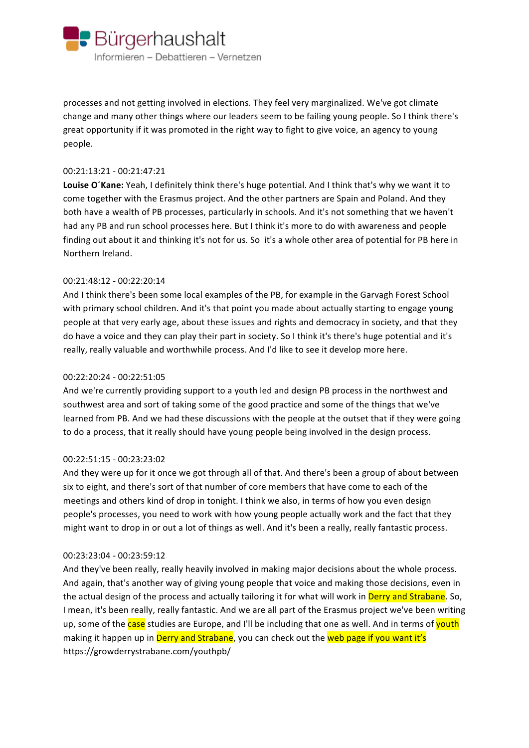

processes and not getting involved in elections. They feel very marginalized. We've got climate change and many other things where our leaders seem to be failing young people. So I think there's great opportunity if it was promoted in the right way to fight to give voice, an agency to young people.

#### 00:21:13:21 - 00:21:47:21

Louise O'Kane: Yeah, I definitely think there's huge potential. And I think that's why we want it to come together with the Erasmus project. And the other partners are Spain and Poland. And they both have a wealth of PB processes, particularly in schools. And it's not something that we haven't had any PB and run school processes here. But I think it's more to do with awareness and people finding out about it and thinking it's not for us. So it's a whole other area of potential for PB here in Northern Ireland.

## 00:21:48:12 - 00:22:20:14

And I think there's been some local examples of the PB, for example in the Garvagh Forest School with primary school children. And it's that point you made about actually starting to engage young people at that very early age, about these issues and rights and democracy in society, and that they do have a voice and they can play their part in society. So I think it's there's huge potential and it's really, really valuable and worthwhile process. And I'd like to see it develop more here.

## 00:22:20:24 - 00:22:51:05

And we're currently providing support to a youth led and design PB process in the northwest and southwest area and sort of taking some of the good practice and some of the things that we've learned from PB. And we had these discussions with the people at the outset that if they were going to do a process, that it really should have young people being involved in the design process.

## 00:22:51:15 - 00:23:23:02

And they were up for it once we got through all of that. And there's been a group of about between six to eight, and there's sort of that number of core members that have come to each of the meetings and others kind of drop in tonight. I think we also, in terms of how you even design people's processes, you need to work with how young people actually work and the fact that they might want to drop in or out a lot of things as well. And it's been a really, really fantastic process.

## 00:23:23:04 - 00:23:59:12

And they've been really, really heavily involved in making major decisions about the whole process. And again, that's another way of giving young people that voice and making those decisions, even in the actual design of the process and actually tailoring it for what will work in Derry and Strabane. So, I mean, it's been really, really fantastic. And we are all part of the Erasmus project we've been writing up, some of the case studies are Europe, and I'll be including that one as well. And in terms of youth making it happen up in Derry and Strabane, you can check out the web page if you want it's https://growderrystrabane.com/youthpb/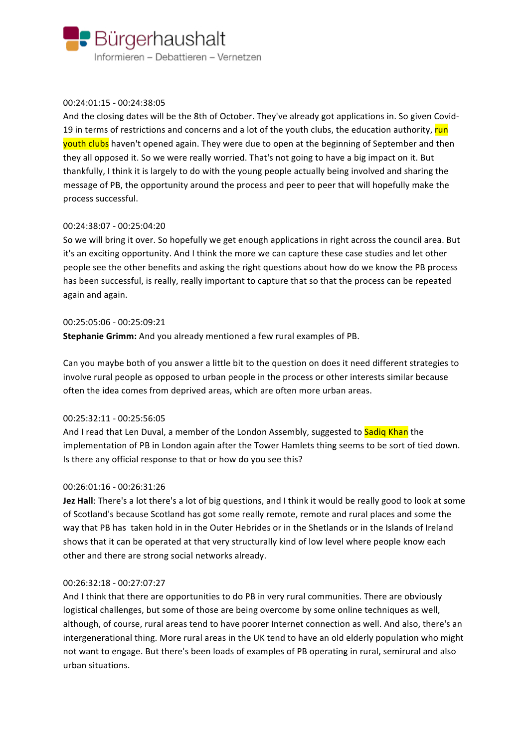

## 00:24:01:15 - 00:24:38:05

And the closing dates will be the 8th of October. They've already got applications in. So given Covid-19 in terms of restrictions and concerns and a lot of the youth clubs, the education authority, run youth clubs haven't opened again. They were due to open at the beginning of September and then they all opposed it. So we were really worried. That's not going to have a big impact on it. But thankfully, I think it is largely to do with the young people actually being involved and sharing the message of PB, the opportunity around the process and peer to peer that will hopefully make the process successful.

## 00:24:38:07 - 00:25:04:20

So we will bring it over. So hopefully we get enough applications in right across the council area. But it's an exciting opportunity. And I think the more we can capture these case studies and let other people see the other benefits and asking the right questions about how do we know the PB process has been successful, is really, really important to capture that so that the process can be repeated again and again.

## 00:25:05:06 - 00:25:09:21

**Stephanie Grimm:** And you already mentioned a few rural examples of PB.

Can you maybe both of you answer a little bit to the question on does it need different strategies to involve rural people as opposed to urban people in the process or other interests similar because often the idea comes from deprived areas, which are often more urban areas.

## 00:25:32:11 - 00:25:56:05

And I read that Len Duval, a member of the London Assembly, suggested to Sadiq Khan the implementation of PB in London again after the Tower Hamlets thing seems to be sort of tied down. Is there any official response to that or how do you see this?

#### 00:26:01:16 - 00:26:31:26

**Jez Hall**: There's a lot there's a lot of big questions, and I think it would be really good to look at some of Scotland's because Scotland has got some really remote, remote and rural places and some the way that PB has taken hold in in the Outer Hebrides or in the Shetlands or in the Islands of Ireland shows that it can be operated at that very structurally kind of low level where people know each other and there are strong social networks already.

#### 00:26:32:18 - 00:27:07:27

And I think that there are opportunities to do PB in very rural communities. There are obviously logistical challenges, but some of those are being overcome by some online techniques as well, although, of course, rural areas tend to have poorer Internet connection as well. And also, there's an intergenerational thing. More rural areas in the UK tend to have an old elderly population who might not want to engage. But there's been loads of examples of PB operating in rural, semirural and also urban situations.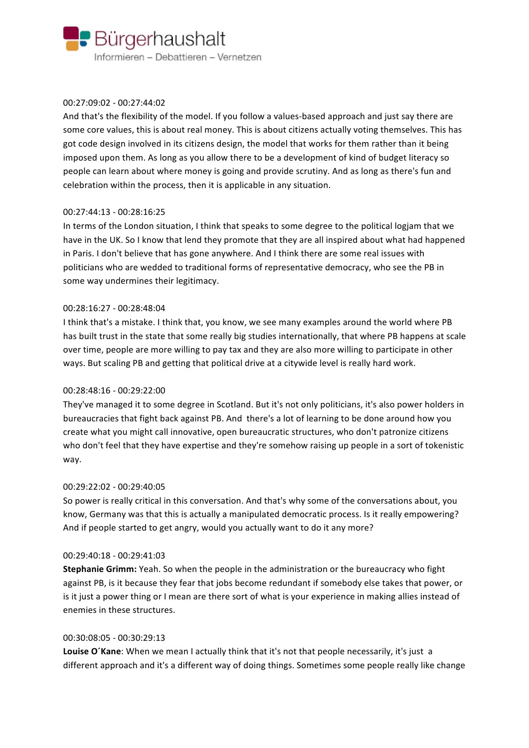

## 00:27:09:02 - 00:27:44:02

And that's the flexibility of the model. If you follow a values-based approach and just say there are some core values, this is about real money. This is about citizens actually voting themselves. This has got code design involved in its citizens design, the model that works for them rather than it being imposed upon them. As long as you allow there to be a development of kind of budget literacy so people can learn about where money is going and provide scrutiny. And as long as there's fun and celebration within the process, then it is applicable in any situation.

## 00:27:44:13 - 00:28:16:25

In terms of the London situation, I think that speaks to some degree to the political logjam that we have in the UK. So I know that lend they promote that they are all inspired about what had happened in Paris. I don't believe that has gone anywhere. And I think there are some real issues with politicians who are wedded to traditional forms of representative democracy, who see the PB in some way undermines their legitimacy.

## 00:28:16:27 - 00:28:48:04

I think that's a mistake. I think that, you know, we see many examples around the world where PB has built trust in the state that some really big studies internationally, that where PB happens at scale over time, people are more willing to pay tax and they are also more willing to participate in other ways. But scaling PB and getting that political drive at a citywide level is really hard work.

## 00:28:48:16 - 00:29:22:00

They've managed it to some degree in Scotland. But it's not only politicians, it's also power holders in bureaucracies that fight back against PB. And there's a lot of learning to be done around how you create what you might call innovative, open bureaucratic structures, who don't patronize citizens who don't feel that they have expertise and they're somehow raising up people in a sort of tokenistic way.

#### 00:29:22:02 - 00:29:40:05

So power is really critical in this conversation. And that's why some of the conversations about, you know, Germany was that this is actually a manipulated democratic process. Is it really empowering? And if people started to get angry, would you actually want to do it any more?

#### 00:29:40:18 - 00:29:41:03

**Stephanie Grimm:** Yeah. So when the people in the administration or the bureaucracy who fight against PB, is it because they fear that jobs become redundant if somebody else takes that power, or is it just a power thing or I mean are there sort of what is your experience in making allies instead of enemies in these structures.

#### 00:30:08:05 - 00:30:29:13

**Louise O'Kane:** When we mean I actually think that it's not that people necessarily, it's just a different approach and it's a different way of doing things. Sometimes some people really like change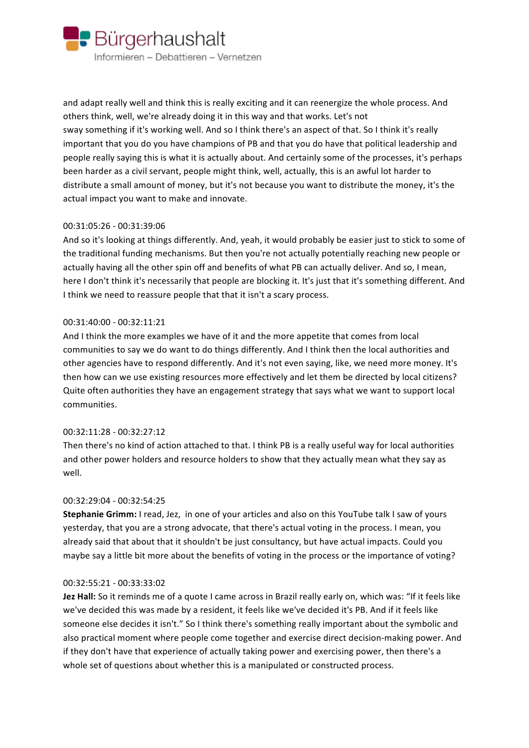

and adapt really well and think this is really exciting and it can reenergize the whole process. And others think, well, we're already doing it in this way and that works. Let's not sway something if it's working well. And so I think there's an aspect of that. So I think it's really important that you do you have champions of PB and that you do have that political leadership and people really saying this is what it is actually about. And certainly some of the processes, it's perhaps been harder as a civil servant, people might think, well, actually, this is an awful lot harder to distribute a small amount of money, but it's not because you want to distribute the money, it's the actual impact you want to make and innovate.

## 00:31:05:26 - 00:31:39:06

And so it's looking at things differently. And, yeah, it would probably be easier just to stick to some of the traditional funding mechanisms. But then you're not actually potentially reaching new people or actually having all the other spin off and benefits of what PB can actually deliver. And so, I mean, here I don't think it's necessarily that people are blocking it. It's just that it's something different. And I think we need to reassure people that that it isn't a scary process.

## 00:31:40:00 - 00:32:11:21

And I think the more examples we have of it and the more appetite that comes from local communities to say we do want to do things differently. And I think then the local authorities and other agencies have to respond differently. And it's not even saying, like, we need more money. It's then how can we use existing resources more effectively and let them be directed by local citizens? Quite often authorities they have an engagement strategy that says what we want to support local communities.

#### 00:32:11:28 - 00:32:27:12

Then there's no kind of action attached to that. I think PB is a really useful way for local authorities and other power holders and resource holders to show that they actually mean what they say as well.

#### 00:32:29:04 - 00:32:54:25

**Stephanie Grimm:** I read, Jez, in one of your articles and also on this YouTube talk I saw of yours yesterday, that you are a strong advocate, that there's actual voting in the process. I mean, you already said that about that it shouldn't be just consultancy, but have actual impacts. Could you maybe say a little bit more about the benefits of voting in the process or the importance of voting?

#### 00:32:55:21 - 00:33:33:02

**Jez Hall:** So it reminds me of a quote I came across in Brazil really early on, which was: "If it feels like we've decided this was made by a resident, it feels like we've decided it's PB. And if it feels like someone else decides it isn't." So I think there's something really important about the symbolic and also practical moment where people come together and exercise direct decision-making power. And if they don't have that experience of actually taking power and exercising power, then there's a whole set of questions about whether this is a manipulated or constructed process.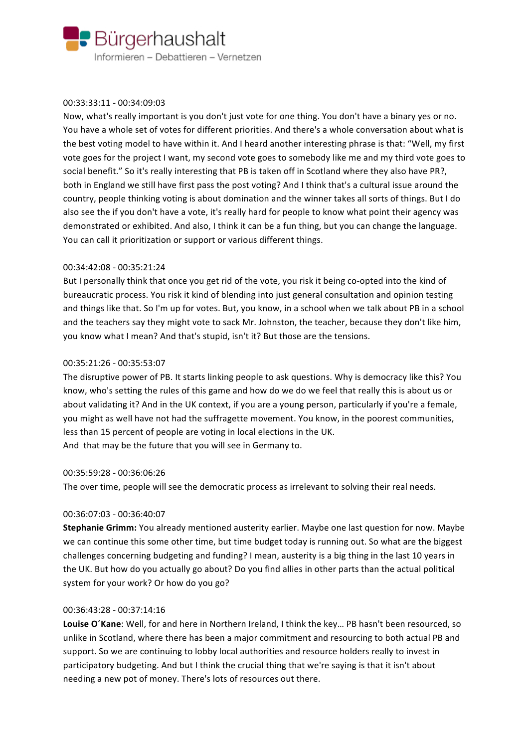

## 00:33:33:11 - 00:34:09:03

Now, what's really important is you don't just vote for one thing. You don't have a binary yes or no. You have a whole set of votes for different priorities. And there's a whole conversation about what is the best voting model to have within it. And I heard another interesting phrase is that: "Well, my first vote goes for the project I want, my second vote goes to somebody like me and my third vote goes to social benefit." So it's really interesting that PB is taken off in Scotland where they also have PR?, both in England we still have first pass the post voting? And I think that's a cultural issue around the country, people thinking voting is about domination and the winner takes all sorts of things. But I do also see the if you don't have a vote, it's really hard for people to know what point their agency was demonstrated or exhibited. And also, I think it can be a fun thing, but you can change the language. You can call it prioritization or support or various different things.

## 00:34:42:08 - 00:35:21:24

But I personally think that once you get rid of the vote, you risk it being co-opted into the kind of bureaucratic process. You risk it kind of blending into just general consultation and opinion testing and things like that. So I'm up for votes. But, you know, in a school when we talk about PB in a school and the teachers say they might vote to sack Mr. Johnston, the teacher, because they don't like him, you know what I mean? And that's stupid, isn't it? But those are the tensions.

## 00:35:21:26 - 00:35:53:07

The disruptive power of PB. It starts linking people to ask questions. Why is democracy like this? You know, who's setting the rules of this game and how do we do we feel that really this is about us or about validating it? And in the UK context, if you are a young person, particularly if you're a female, you might as well have not had the suffragette movement. You know, in the poorest communities, less than 15 percent of people are voting in local elections in the UK. And that may be the future that you will see in Germany to.

#### 00:35:59:28 - 00:36:06:26

The over time, people will see the democratic process as irrelevant to solving their real needs.

## 00:36:07:03 - 00:36:40:07

**Stephanie Grimm:** You already mentioned austerity earlier. Maybe one last question for now. Maybe we can continue this some other time, but time budget today is running out. So what are the biggest challenges concerning budgeting and funding? I mean, austerity is a big thing in the last 10 years in the UK. But how do you actually go about? Do you find allies in other parts than the actual political system for your work? Or how do you go?

## 00:36:43:28 - 00:37:14:16

Louise O'Kane: Well, for and here in Northern Ireland, I think the key... PB hasn't been resourced, so unlike in Scotland, where there has been a major commitment and resourcing to both actual PB and support. So we are continuing to lobby local authorities and resource holders really to invest in participatory budgeting. And but I think the crucial thing that we're saying is that it isn't about needing a new pot of money. There's lots of resources out there.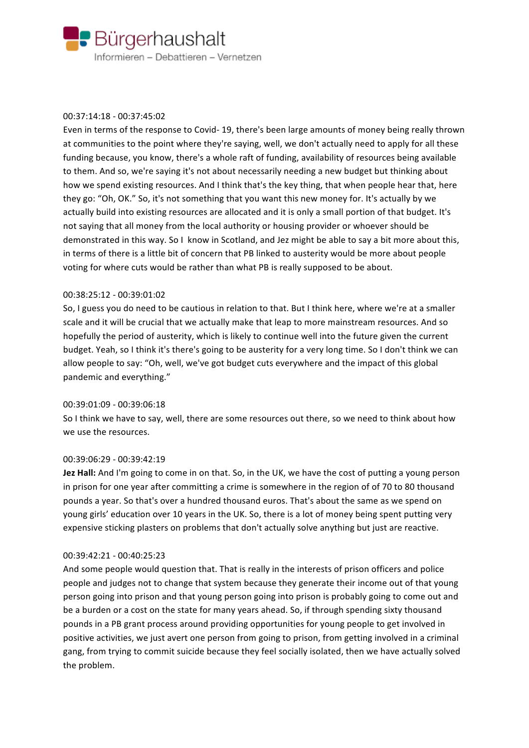

## 00:37:14:18 - 00:37:45:02

Even in terms of the response to Covid- 19, there's been large amounts of money being really thrown at communities to the point where they're saying, well, we don't actually need to apply for all these funding because, you know, there's a whole raft of funding, availability of resources being available to them. And so, we're saying it's not about necessarily needing a new budget but thinking about how we spend existing resources. And I think that's the key thing, that when people hear that, here they go: "Oh, OK." So, it's not something that you want this new money for. It's actually by we actually build into existing resources are allocated and it is only a small portion of that budget. It's not saying that all money from the local authority or housing provider or whoever should be demonstrated in this way. So I know in Scotland, and Jez might be able to say a bit more about this, in terms of there is a little bit of concern that PB linked to austerity would be more about people voting for where cuts would be rather than what PB is really supposed to be about.

## 00:38:25:12 - 00:39:01:02

So, I guess you do need to be cautious in relation to that. But I think here, where we're at a smaller scale and it will be crucial that we actually make that leap to more mainstream resources. And so hopefully the period of austerity, which is likely to continue well into the future given the current budget. Yeah, so I think it's there's going to be austerity for a very long time. So I don't think we can allow people to say: "Oh, well, we've got budget cuts everywhere and the impact of this global pandemic and everything."

#### 00:39:01:09 - 00:39:06:18

So I think we have to say, well, there are some resources out there, so we need to think about how we use the resources.

#### 00:39:06:29 - 00:39:42:19

**Jez Hall:** And I'm going to come in on that. So, in the UK, we have the cost of putting a young person in prison for one year after committing a crime is somewhere in the region of of 70 to 80 thousand pounds a year. So that's over a hundred thousand euros. That's about the same as we spend on young girls' education over 10 years in the UK. So, there is a lot of money being spent putting very expensive sticking plasters on problems that don't actually solve anything but just are reactive.

#### 00:39:42:21 - 00:40:25:23

And some people would question that. That is really in the interests of prison officers and police people and judges not to change that system because they generate their income out of that young person going into prison and that young person going into prison is probably going to come out and be a burden or a cost on the state for many years ahead. So, if through spending sixty thousand pounds in a PB grant process around providing opportunities for young people to get involved in positive activities, we just avert one person from going to prison, from getting involved in a criminal gang, from trying to commit suicide because they feel socially isolated, then we have actually solved the problem.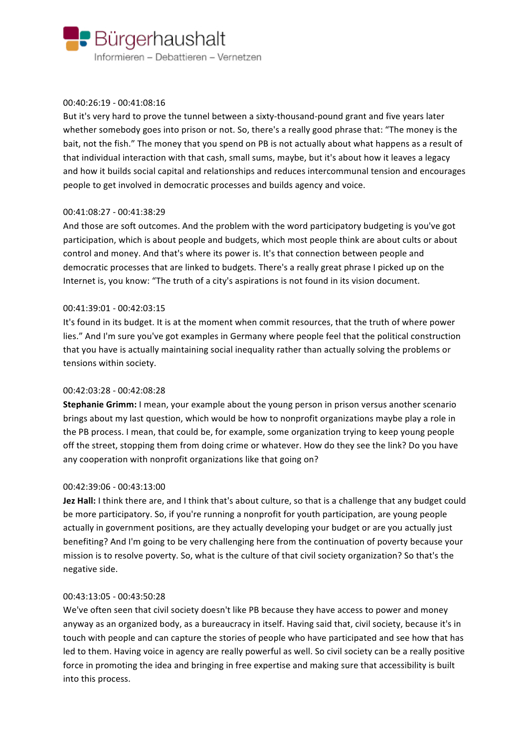

## 00:40:26:19 - 00:41:08:16

But it's very hard to prove the tunnel between a sixty-thousand-pound grant and five years later whether somebody goes into prison or not. So, there's a really good phrase that: "The money is the bait, not the fish." The money that you spend on PB is not actually about what happens as a result of that individual interaction with that cash, small sums, maybe, but it's about how it leaves a legacy and how it builds social capital and relationships and reduces intercommunal tension and encourages people to get involved in democratic processes and builds agency and voice.

## 00:41:08:27 - 00:41:38:29

And those are soft outcomes. And the problem with the word participatory budgeting is you've got participation, which is about people and budgets, which most people think are about cults or about control and money. And that's where its power is. It's that connection between people and democratic processes that are linked to budgets. There's a really great phrase I picked up on the Internet is, you know: "The truth of a city's aspirations is not found in its vision document.

## 00:41:39:01 - 00:42:03:15

It's found in its budget. It is at the moment when commit resources, that the truth of where power lies." And I'm sure you've got examples in Germany where people feel that the political construction that you have is actually maintaining social inequality rather than actually solving the problems or tensions within society.

## 00:42:03:28 - 00:42:08:28

**Stephanie Grimm:** I mean, your example about the young person in prison versus another scenario brings about my last question, which would be how to nonprofit organizations maybe play a role in the PB process. I mean, that could be, for example, some organization trying to keep young people off the street, stopping them from doing crime or whatever. How do they see the link? Do you have any cooperation with nonprofit organizations like that going on?

#### 00:42:39:06 - 00:43:13:00

**Jez Hall:** I think there are, and I think that's about culture, so that is a challenge that any budget could be more participatory. So, if you're running a nonprofit for youth participation, are young people actually in government positions, are they actually developing your budget or are you actually just benefiting? And I'm going to be very challenging here from the continuation of poverty because your mission is to resolve poverty. So, what is the culture of that civil society organization? So that's the negative side.

#### 00:43:13:05 - 00:43:50:28

We've often seen that civil society doesn't like PB because they have access to power and money anyway as an organized body, as a bureaucracy in itself. Having said that, civil society, because it's in touch with people and can capture the stories of people who have participated and see how that has led to them. Having voice in agency are really powerful as well. So civil society can be a really positive force in promoting the idea and bringing in free expertise and making sure that accessibility is built into this process.